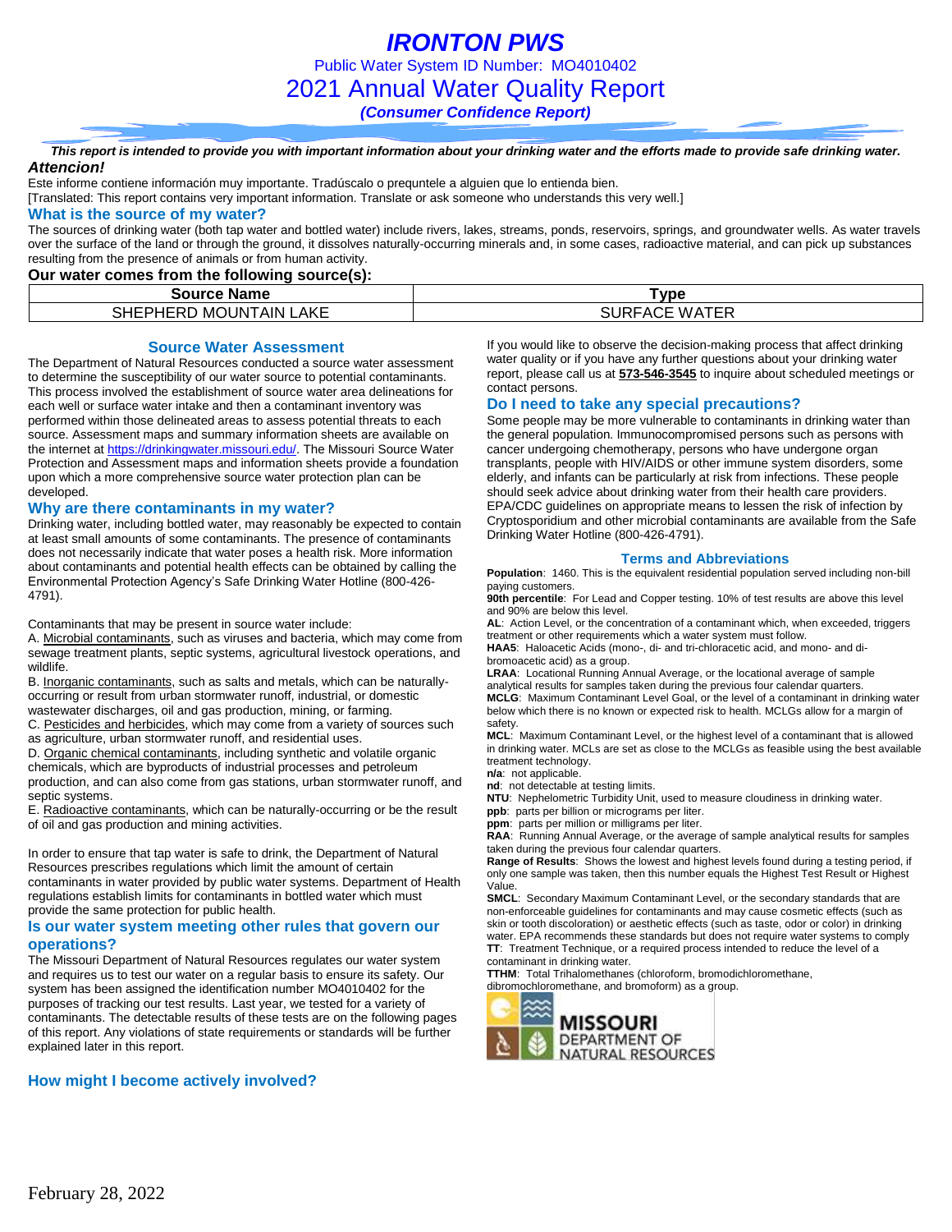*IRONTON PWS* Public Water System ID Number: MO4010402 2021 Annual Water Quality Report *(Consumer Confidence Report)*

*This report is intended to provide you with important information about your drinking water and the efforts made to provide safe drinking water. Attencion!*

Este informe contiene información muy importante. Tradúscalo o prequntele a alguien que lo entienda bien.

[Translated: This report contains very important information. Translate or ask someone who understands this very well.]

### **What is the source of my water?**

The sources of drinking water (both tap water and bottled water) include rivers, lakes, streams, ponds, reservoirs, springs, and groundwater wells. As water travels over the surface of the land or through the ground, it dissolves naturally-occurring minerals and, in some cases, radioactive material, and can pick up substances resulting from the presence of animals or from human activity.

### **Our water comes from the following source(s):**

| <b>Name</b>                 | Type            |  |  |  |  |  |
|-----------------------------|-----------------|--|--|--|--|--|
| LAKE<br>SHEPHERD MOUNTAIN I | WATER<br>''∽AC∟ |  |  |  |  |  |

### **Source Water Assessment**

The Department of Natural Resources conducted a source water assessment to determine the susceptibility of our water source to potential contaminants. This process involved the establishment of source water area delineations for each well or surface water intake and then a contaminant inventory was performed within those delineated areas to assess potential threats to each source. Assessment maps and summary information sheets are available on the internet a[t https://drinkingwater.missouri.edu/.](https://drinkingwater.missouri.edu/) The Missouri Source Water Protection and Assessment maps and information sheets provide a foundation upon which a more comprehensive source water protection plan can be developed.

#### **Why are there contaminants in my water?**

Drinking water, including bottled water, may reasonably be expected to contain at least small amounts of some contaminants. The presence of contaminants does not necessarily indicate that water poses a health risk. More information about contaminants and potential health effects can be obtained by calling the Environmental Protection Agency's Safe Drinking Water Hotline (800-426- 4791).

Contaminants that may be present in source water include:

A. Microbial contaminants, such as viruses and bacteria, which may come from sewage treatment plants, septic systems, agricultural livestock operations, and wildlife.

B. Inorganic contaminants, such as salts and metals, which can be naturallyoccurring or result from urban stormwater runoff, industrial, or domestic wastewater discharges, oil and gas production, mining, or farming.

C. Pesticides and herbicides, which may come from a variety of sources such as agriculture, urban stormwater runoff, and residential uses.

D. Organic chemical contaminants, including synthetic and volatile organic chemicals, which are byproducts of industrial processes and petroleum production, and can also come from gas stations, urban stormwater runoff, and septic systems.

E. Radioactive contaminants, which can be naturally-occurring or be the result of oil and gas production and mining activities.

In order to ensure that tap water is safe to drink, the Department of Natural Resources prescribes regulations which limit the amount of certain contaminants in water provided by public water systems. Department of Health regulations establish limits for contaminants in bottled water which must provide the same protection for public health.

### **Is our water system meeting other rules that govern our operations?**

The Missouri Department of Natural Resources regulates our water system and requires us to test our water on a regular basis to ensure its safety. Our system has been assigned the identification number MO4010402 for the purposes of tracking our test results. Last year, we tested for a variety of contaminants. The detectable results of these tests are on the following pages of this report. Any violations of state requirements or standards will be further explained later in this report.

### **How might I become actively involved?**

If you would like to observe the decision-making process that affect drinking water quality or if you have any further questions about your drinking water report, please call us at **573-546-3545** to inquire about scheduled meetings or contact persons.

### **Do I need to take any special precautions?**

Some people may be more vulnerable to contaminants in drinking water than the general population. Immunocompromised persons such as persons with cancer undergoing chemotherapy, persons who have undergone organ transplants, people with HIV/AIDS or other immune system disorders, some elderly, and infants can be particularly at risk from infections. These people should seek advice about drinking water from their health care providers. EPA/CDC guidelines on appropriate means to lessen the risk of infection by Cryptosporidium and other microbial contaminants are available from the Safe Drinking Water Hotline (800-426-4791).

### **Terms and Abbreviations**

**Population**: 1460. This is the equivalent residential population served including non-bill paying customers.

**90th percentile**: For Lead and Copper testing. 10% of test results are above this level and 90% are below this level.

**AL**: Action Level, or the concentration of a contaminant which, when exceeded, triggers treatment or other requirements which a water system must follow.

**HAA5**: Haloacetic Acids (mono-, di- and tri-chloracetic acid, and mono- and dibromoacetic acid) as a group.

**LRAA**: Locational Running Annual Average, or the locational average of sample analytical results for samples taken during the previous four calendar quarters. **MCLG**: Maximum Contaminant Level Goal, or the level of a contaminant in drinking water below which there is no known or expected risk to health. MCLGs allow for a margin of

safety. **MCL**: Maximum Contaminant Level, or the highest level of a contaminant that is allowed in drinking water. MCLs are set as close to the MCLGs as feasible using the best available treatment technology.

**n/a**: not applicable.

**nd**: not detectable at testing limits.

**NTU**: Nephelometric Turbidity Unit, used to measure cloudiness in drinking water. **ppb**: parts per billion or micrograms per liter.

**ppm**: parts per million or milligrams per liter.

**RAA**: Running Annual Average, or the average of sample analytical results for samples taken during the previous four calendar quarters.

**Range of Results**: Shows the lowest and highest levels found during a testing period, if only one sample was taken, then this number equals the Highest Test Result or Highest Value.

**SMCL**: Secondary Maximum Contaminant Level, or the secondary standards that are non-enforceable guidelines for contaminants and may cause cosmetic effects (such as skin or tooth discoloration) or aesthetic effects (such as taste, odor or color) in drinking water. EPA recommends these standards but does not require water systems to comply **TT**: Treatment Technique, or a required process intended to reduce the level of a contaminant in drinking water.

**TTHM**: Total Trihalomethanes (chloroform, bromodichloromethane,

dibromochloromethane, and bromoform) as a group.

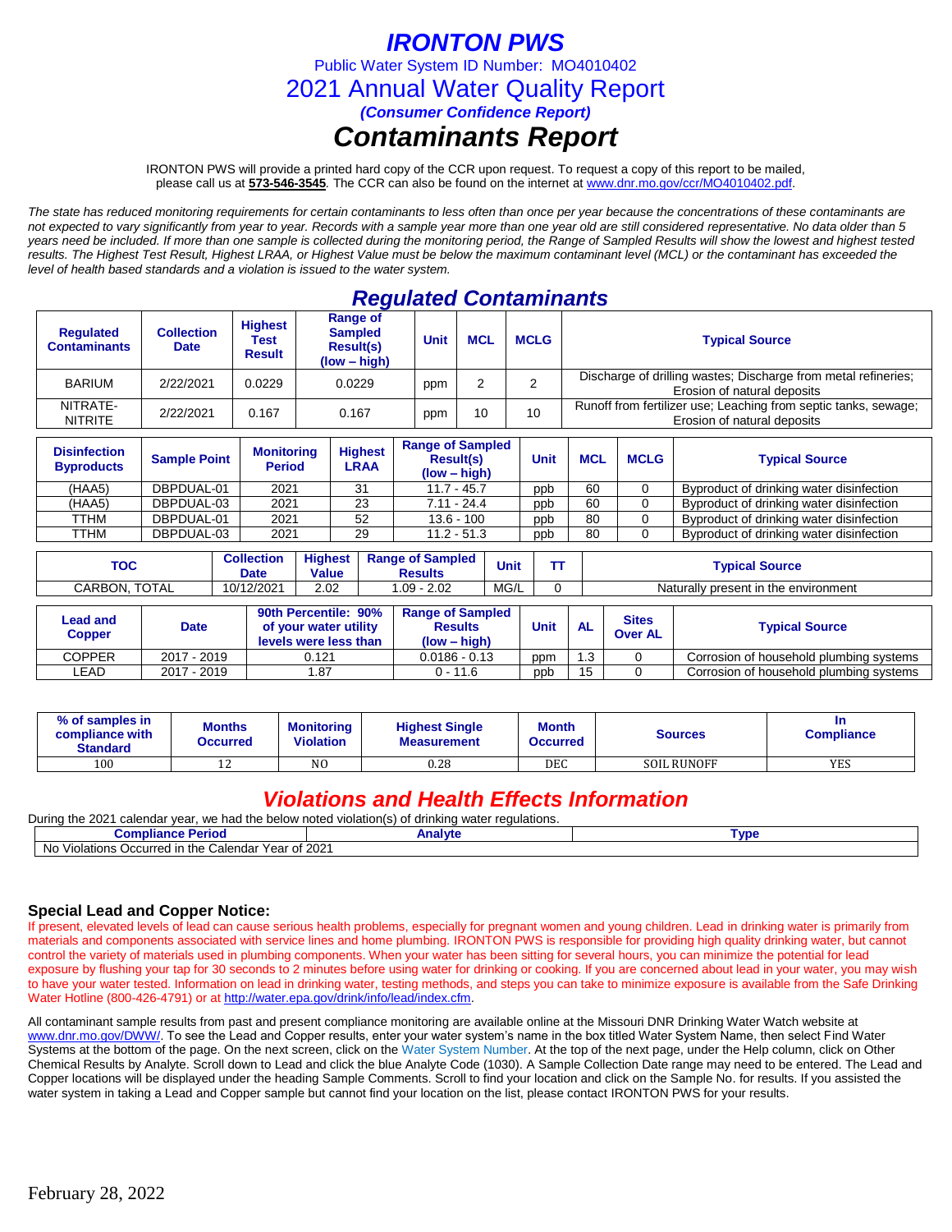# *IRONTON PWS*

Public Water System ID Number: MO4010402

2021 Annual Water Quality Report

*(Consumer Confidence Report)*

# *Contaminants Report*

IRONTON PWS will provide a printed hard copy of the CCR upon request. To request a copy of this report to be mailed, please call us at **573-546-3545***.* The CCR can also be found on the internet at www.dnr.mo.gov/ccr/MO4010402.pdf.

*The state has reduced monitoring requirements for certain contaminants to less often than once per year because the concentrations of these contaminants are not expected to vary significantly from year to year. Records with a sample year more than one year old are still considered representative. No data older than 5 years need be included. If more than one sample is collected during the monitoring period, the Range of Sampled Results will show the lowest and highest tested results. The Highest Test Result, Highest LRAA, or Highest Value must be below the maximum contaminant level (MCL) or the contaminant has exceeded the level of health based standards and a violation is issued to the water system.* 

## *Regulated Contaminants*

| <b>Requlated</b><br><b>Contaminants</b> | Collection<br><b>Date</b> | <b>Highest</b><br>Test<br><b>Result</b> | Range of<br><b>Sampled</b><br><b>Result(s)</b><br>(low – high) | <b>MCL</b><br>Unit |    | <b>MCLG</b> | <b>Typical Source</b>                                                                          |  |
|-----------------------------------------|---------------------------|-----------------------------------------|----------------------------------------------------------------|--------------------|----|-------------|------------------------------------------------------------------------------------------------|--|
| <b>BARIUM</b>                           | 2/22/2021                 | 0.0229                                  | 0.0229                                                         | ppm                |    | ◠           | Discharge of drilling wastes; Discharge from metal refineries;<br>Erosion of natural deposits  |  |
| NITRATE-<br><b>NITRITE</b>              | 2/22/2021                 | 0.167                                   | 0.167                                                          | ppm                | 10 | 10          | Runoff from fertilizer use; Leaching from septic tanks, sewage;<br>Erosion of natural deposits |  |

| <b>Disinfection</b><br><b>Byproducts</b> | <b>Sample Point</b> | <b>Monitoring</b><br><b>Period</b> | <b>Highest</b><br>LRAA | <b>Range of Sampled</b><br><b>Result(s)</b><br>$(low - high)$ | <b>Unit</b> | <b>MCL</b> | <b>MCLG</b> | <b>Typical Source</b>                    |
|------------------------------------------|---------------------|------------------------------------|------------------------|---------------------------------------------------------------|-------------|------------|-------------|------------------------------------------|
| (HAA5)                                   | DBPDUAL-01          | 2021                               | 31                     | $11.7 - 45.7$                                                 | ppb         | 60         |             | Byproduct of drinking water disinfection |
| (HAA5)                                   | DBPDUAL-03          | 2021                               | 23                     | $7.11 - 24.4$                                                 | ppb         | 60         |             | Byproduct of drinking water disinfection |
| TTHM                                     | DBPDUAL-01          | 2021                               | 52                     | $13.6 - 100$                                                  | ppb         | 80         |             | Byproduct of drinking water disinfection |
| TTHM                                     | DBPDUAL-03          | 2021                               | 29                     | $11.2 - 51.3$                                                 | ppb         | 80         |             | Byproduct of drinking water disinfection |

| <b>TOC</b>                       |                     | <b>Collection</b><br><b>Date</b> | <b>Highest</b><br><b>Value</b> |                                                                        | <b>Range of Sampled</b><br><b>Results</b> | Unit                                                        |      |                                         |           | <b>Typical Source</b>                |                                         |  |
|----------------------------------|---------------------|----------------------------------|--------------------------------|------------------------------------------------------------------------|-------------------------------------------|-------------------------------------------------------------|------|-----------------------------------------|-----------|--------------------------------------|-----------------------------------------|--|
| CARBON, TOTAL                    |                     |                                  | 10/12/2021                     | 2.02                                                                   |                                           | $1.09 - 2.02$                                               | MG/L |                                         |           | Naturally present in the environment |                                         |  |
|                                  |                     |                                  |                                |                                                                        |                                           |                                                             |      |                                         |           |                                      |                                         |  |
| <b>Lead and</b><br><b>Copper</b> | <b>Date</b>         |                                  |                                | 90th Percentile: 90%<br>of your water utility<br>levels were less than |                                           | <b>Range of Sampled</b><br><b>Results</b><br>$(low - high)$ |      | Unit                                    | <b>AL</b> | <b>Sites</b><br><b>Over AL</b>       | <b>Typical Source</b>                   |  |
| <b>COPPER</b>                    | 2017 - 2019         |                                  | 0.121                          |                                                                        |                                           | $0.0186 - 0.13$                                             |      | ppm                                     | 1.3       |                                      | Corrosion of household plumbing systems |  |
| LEAD                             | 2017 - 2019<br>l.87 |                                  | $0 - 11.6$                     |                                                                        | ppb                                       | 15                                                          |      | Corrosion of household plumbing systems |           |                                      |                                         |  |

| % of samples in<br>compliance with<br><b>Standard</b> | <b>Months</b><br>Occurred | Monitorina<br><b>Violation</b> | <b>Highest Single</b><br><b>Measurement</b> | <b>Month</b><br><b>Occurred</b> | Sources            | In<br><b>Compliance</b> |
|-------------------------------------------------------|---------------------------|--------------------------------|---------------------------------------------|---------------------------------|--------------------|-------------------------|
| 100                                                   | ᅩ                         | N <sub>O</sub>                 | 0.28                                        | DEC                             | <b>SOIL RUNOFF</b> | <b>YES</b>              |

### *Violations and Health Effects Information*

| Durina<br>the 2021<br>. we had the below noted $\cdot$<br>. calendar vear<br>! violation(s)<br>* drinking water regulations.<br>0t |         |      |  |  |  |  |  |  |
|------------------------------------------------------------------------------------------------------------------------------------|---------|------|--|--|--|--|--|--|
| $\omega$ ompliance P<br>∙ Period                                                                                                   | Analvte | Tvne |  |  |  |  |  |  |
| d in the Calendar Year of 2021<br><b>No</b><br>⊦ Violations Occurred in                                                            |         |      |  |  |  |  |  |  |

### **Special Lead and Copper Notice:**

If present, elevated levels of lead can cause serious health problems, especially for pregnant women and young children. Lead in drinking water is primarily from materials and components associated with service lines and home plumbing. IRONTON PWS is responsible for providing high quality drinking water, but cannot control the variety of materials used in plumbing components. When your water has been sitting for several hours, you can minimize the potential for lead exposure by flushing your tap for 30 seconds to 2 minutes before using water for drinking or cooking. If you are concerned about lead in your water, you may wish to have your water tested. Information on lead in drinking water, testing methods, and steps you can take to minimize exposure is available from the Safe Drinking Water Hotline (800-426-4791) or at [http://water.epa.gov/drink/info/lead/index.cfm.](http://water.epa.gov/drink/info/lead/index.cfm)

All contaminant sample results from past and present compliance monitoring are available online at the Missouri DNR Drinking Water Watch website at [www.dnr.mo.gov/DWW/.](http://www.dnr.mo.gov/DWW/) To see the Lead and Copper results, enter your water system's name in the box titled Water System Name, then select Find Water Systems at the bottom of the page. On the next screen, click on the Water System Number. At the top of the next page, under the Help column, click on Other Chemical Results by Analyte. Scroll down to Lead and click the blue Analyte Code (1030). A Sample Collection Date range may need to be entered. The Lead and Copper locations will be displayed under the heading Sample Comments. Scroll to find your location and click on the Sample No. for results. If you assisted the water system in taking a Lead and Copper sample but cannot find your location on the list, please contact IRONTON PWS for your results.